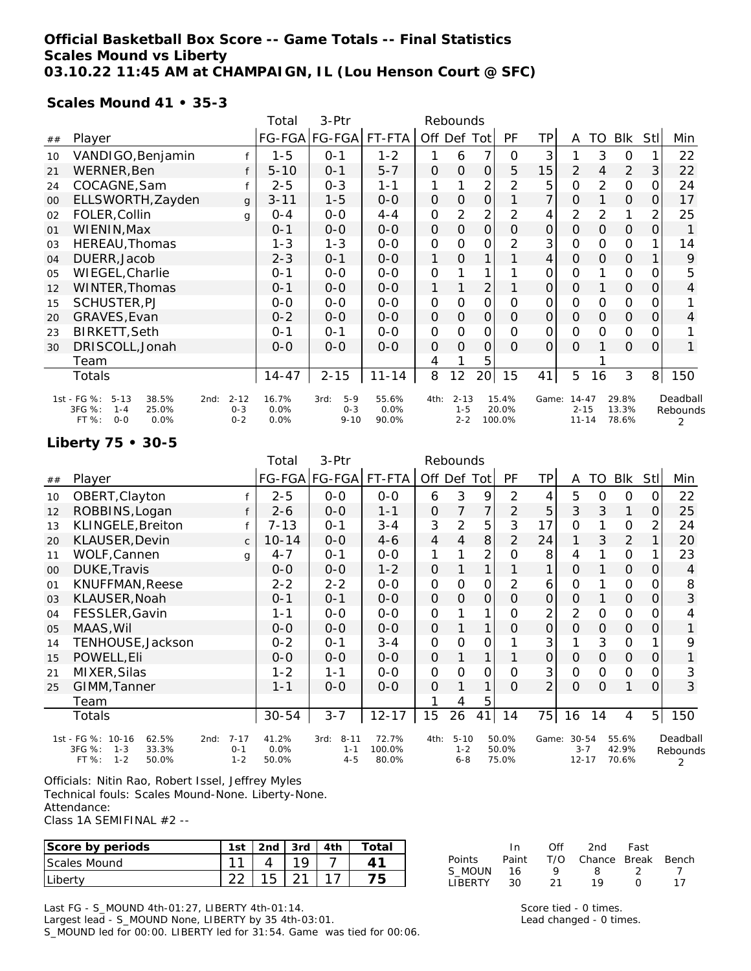#### **Official Basketball Box Score -- Game Totals -- Final Statistics Scales Mound vs Liberty 03.10.22 11:45 AM at CHAMPAIGN, IL (Lou Henson Court @ SFC)**

#### **Scales Mound 41 • 35-3**

|    |                                                                                                                                      |              | Total                 | 3-Ptr                                |                        |              |                                |                |                          |              |                                    |                |                         |      |                           |
|----|--------------------------------------------------------------------------------------------------------------------------------------|--------------|-----------------------|--------------------------------------|------------------------|--------------|--------------------------------|----------------|--------------------------|--------------|------------------------------------|----------------|-------------------------|------|---------------------------|
| ## | Player                                                                                                                               |              |                       | FG-FGA FG-FGA FT-FTA                 |                        | Off Def Tot  |                                |                | PF                       | ТP           | A                                  | TO             | <b>BIK</b>              | Stll | Min                       |
| 10 | VANDIGO, Benjamin                                                                                                                    |              | $1 - 5$               | $0 - 1$                              | $1 - 2$                | 1            | 6                              | 7              | 0                        | 3            |                                    | 3              | 0                       |      | 22                        |
| 21 | WERNER, Ben                                                                                                                          | f            | $5 - 10$              | $0 - 1$                              | $5 - 7$                | $\Omega$     | $\Omega$                       | $\overline{O}$ | 5                        | 15           | 2                                  | 4              | $\overline{2}$          | 3    | 22                        |
| 24 | COCAGNE, Sam                                                                                                                         | f            | $2 - 5$               | $0 - 3$                              | $1 - 1$                | 1            |                                | 2              | 2                        | 5            | 0                                  | $\overline{2}$ | O                       | 0    | 24                        |
| 00 | ELLSWORTH, Zayden                                                                                                                    | $\mathbf{q}$ | $3 - 11$              | $1 - 5$                              | $0 - 0$                | $\mathbf{O}$ | $\Omega$                       | 0              |                          | 7            | $\mathbf{O}$                       |                | $\mathbf{O}$            | 0    | 17                        |
| 02 | FOLER, Collin                                                                                                                        | q            | $0 - 4$               | $0-0$                                | $4 - 4$                | 0            | 2                              | 2              | 2                        | 4            | 2                                  | $\overline{2}$ | 1                       | 2    | 25                        |
| 01 | WIENIN, Max                                                                                                                          |              | $0 - 1$               | $0 - 0$                              | $0 - 0$                | $\mathbf{O}$ | O                              | 0              | $\Omega$                 | $\mathbf 0$  | $\mathbf{O}$                       | 0              | $\mathbf{O}$            | 0    |                           |
| 03 | HEREAU, Thomas                                                                                                                       | $1 - 3$      | $1 - 3$               | $0 - 0$                              | 0                      | $\Omega$     | 0                              | $\overline{2}$ | 3                        | 0            | 0                                  | O              |                         | 14   |                           |
| 04 | DUERR, Jacob                                                                                                                         | $2 - 3$      | $0 - 1$               | $0 - 0$                              | 1                      | $\Omega$     | 1                              |                | 4                        | $\mathsf{O}$ | 0                                  | $\mathbf{O}$   |                         | 9    |                           |
| 05 | WIEGEL, Charlie                                                                                                                      |              | $O - 1$               | $0 - 0$                              | $0 - 0$                | O            |                                | 1              |                          | 0            | 0                                  | 1              | 0                       | 0    | 5                         |
| 12 | WINTER, Thomas                                                                                                                       |              | $0 - 1$               | $0 - 0$                              | $0 - 0$                | 1            |                                | 2              |                          | 0            | 0                                  |                | 0                       | O    | 4                         |
| 15 | SCHUSTER, PJ                                                                                                                         |              | $0 - 0$               | $0-0$                                | $0 - 0$                | 0            | $\Omega$                       | $\mathsf{O}$   | $\Omega$                 | 0            | $\Omega$                           | 0              | 0                       | 0    |                           |
| 20 | GRAVES, Evan                                                                                                                         |              | $0 - 2$               | $0 - 0$                              | $0 - 0$                | $\mathbf 0$  | 0                              | $\mathbf{O}$   | $\Omega$                 | $\Omega$     | $\Omega$                           | 0              | $\mathbf{O}$            | 0    | 4                         |
| 23 | <b>BIRKETT, Seth</b>                                                                                                                 |              | $O - 1$               | $0 - 1$                              | $0 - 0$                | 0            | 0                              | 0              | $\Omega$                 | 0            | $\mathsf{O}$                       | $\Omega$       | 0                       | 0    |                           |
| 30 | DRISCOLL, Jonah                                                                                                                      |              | $0 - 0$               | $0 - 0$                              | $O - O$                | 0            | 0                              | 0              | $\Omega$                 | $\mathbf 0$  | $\Omega$                           |                | 0                       | 0    | 1                         |
|    | Team                                                                                                                                 |              |                       |                                      |                        | 4            |                                | 5              |                          |              |                                    |                |                         |      |                           |
|    | Totals                                                                                                                               |              | $14 - 47$             | $2 - 15$                             | $11 - 14$              | 8            | 12                             | 20             | 15                       | 41           | 5                                  | 16             | 3                       | 8    | 150                       |
|    | 1st - FG %:<br>38.5%<br>$2 - 12$<br>$5 - 13$<br>2nd:<br>3FG %:<br>25.0%<br>$1 - 4$<br>$O - 3$<br>FT %:<br>$O - O$<br>0.0%<br>$0 - 2$ |              | 16.7%<br>0.0%<br>0.0% | $5-9$<br>3rd:<br>$0 - 3$<br>$9 - 10$ | 55.6%<br>0.0%<br>90.0% | 4th:         | $2 - 13$<br>$1 - 5$<br>$2 - 2$ |                | 15.4%<br>20.0%<br>100.0% | Game:        | $14 - 47$<br>$2 - 15$<br>$11 - 14$ |                | 29.8%<br>13.3%<br>78.6% |      | Deadball<br>Rebounds<br>2 |

#### **Liberty 75 • 30-5**

|        |                                                                                               |                                | Total                  | 3-Ptr                                  | Rebounds                 |                |                                |                |                         |              |                                   |          |                         |                |                           |
|--------|-----------------------------------------------------------------------------------------------|--------------------------------|------------------------|----------------------------------------|--------------------------|----------------|--------------------------------|----------------|-------------------------|--------------|-----------------------------------|----------|-------------------------|----------------|---------------------------|
| ##     | Player                                                                                        |                                |                        | FG-FGA FG-FGA                          | FT-FTA                   | Off Def Tot    |                                |                | PF                      | ТP           | A                                 | TO       | <b>BIK</b>              | Stll           | Min                       |
| 10     | OBERT, Clayton                                                                                |                                | $2 - 5$                | $0-0$                                  | $0 - 0$                  | 6              | 3                              | 9              | 2                       | 4            | 5                                 | 0        | 0                       | 0              | 22                        |
| 12     | ROBBINS, Logan                                                                                | f                              | $2 - 6$                | $0-0$                                  | $1 - 1$                  | 0              | 7                              | $\overline{7}$ | 2                       | 5            | 3                                 | 3        | 1                       | $\Omega$       | 25                        |
| 13     | KLINGELE, Breiton                                                                             |                                | $7 - 13$               | $0 - 1$                                | $3 - 4$                  | 3              | 2                              | 5              | 3                       | 17           | 0                                 | 1        | 0                       | 2              | 24                        |
| 20     | KLAUSER, Devin                                                                                | $\mathsf{C}$                   | $10 - 14$              | $0 - 0$                                | $4 - 6$                  | $\overline{4}$ | 4                              | 8              | $\overline{2}$          | 24           | 1                                 | 3        | 2                       |                | 20                        |
| 11     | WOLF, Cannen                                                                                  | q                              | $4 - 7$                | $0 - 1$                                | $0-0$                    | 1              |                                | $\overline{2}$ | $\Omega$                | 8            | 4                                 |          | 0                       |                | 23                        |
| $00\,$ | DUKE, Travis                                                                                  |                                | $0 - 0$                | $0 - 0$                                | $1 - 2$                  | 0              |                                | 1              |                         |              | $\mathbf{O}$                      |          | $\mathbf 0$             | 0              | $\overline{4}$            |
| 01     | KNUFFMAN, Reese                                                                               |                                | $2 - 2$                | $2 - 2$                                | $0 - 0$                  | 0              | $\Omega$                       | $\overline{O}$ | 2                       | 6            | 0                                 |          | O                       | 0              | 8                         |
| 03     | KLAUSER, Noah                                                                                 |                                | $0 - 1$                | $0 - 1$                                | $0-0$                    | 0              | 0                              | $\overline{O}$ | $\Omega$                | $\mathbf{O}$ | 0                                 |          | $\mathbf{O}$            | 0              | 3                         |
| 04     | FESSLER, Gavin                                                                                |                                | $1 - 1$                | $0 - 0$                                | $O-O$                    | 0              |                                | 1              | $\Omega$                | 2            | $\overline{2}$                    | 0        | O                       | 0              | 4                         |
| 05     | MAAS, Wil                                                                                     |                                | $0 - 0$                | $0 - 0$                                | $0 - 0$                  | 0              |                                | 1              | $\Omega$                | $\Omega$     | $\Omega$                          | 0        | 0                       | 0              | 1                         |
| 14     | TENHOUSE, Jackson                                                                             |                                | $0 - 2$                | $0 - 1$                                | $3 - 4$                  | 0              | 0                              | O              |                         | 3            | 1                                 | 3        | O                       |                | 9                         |
| 15     | POWELL, Eli                                                                                   |                                | $O-O$                  | $O - O$                                | $0 - 0$                  | 0              |                                | 1              |                         | 0            | $\mathbf{O}$                      | 0        | $\mathbf{O}$            | 0              | 1                         |
| 21     | MIXER, Silas                                                                                  |                                | $1 - 2$                | $1 - 1$                                | $0-0$                    | 0              | 0                              | 0              | 0                       | 3            | 0                                 | 0        | O                       | 0              | 3                         |
| 25     | GIMM, Tanner                                                                                  |                                | $1 - 1$                | $0 - 0$                                | $0 - 0$                  | 0              |                                | 1              | 0                       | 2            | $\Omega$                          | $\Omega$ | 1                       | 0              | 3                         |
|        | Team                                                                                          |                                |                        |                                        |                          |                | 4                              | 5              |                         |              |                                   |          |                         |                |                           |
|        | Totals                                                                                        |                                | $30 - 54$              | $3 - 7$                                | $12 - 17$                | 15             | 26                             | 41             | 14                      | 75           | 16                                | 14       | 4                       | 5 <sub>l</sub> | 150                       |
|        | 1st - FG %: 10-16<br>62.5%<br>2nd:<br>3FG %:<br>33.3%<br>$1 - 3$<br>FT %:<br>$1 - 2$<br>50.0% | $7 - 17$<br>$0 - 1$<br>$1 - 2$ | 41.2%<br>0.0%<br>50.0% | $8 - 11$<br>3rd:<br>$1 - 1$<br>$4 - 5$ | 72.7%<br>100.0%<br>80.0% | 4th:           | $5 - 10$<br>$1 - 2$<br>$6 - 8$ |                | 50.0%<br>50.0%<br>75.0% | Game:        | $30 - 54$<br>$3 - 7$<br>$12 - 17$ |          | 55.6%<br>42.9%<br>70.6% |                | Deadball<br>Rebounds<br>2 |

Officials: Nitin Rao, Robert Issel, Jeffrey Myles

Technical fouls: Scales Mound-None. Liberty-None.

Attendance:

Class 1A SEMIFINAL #2 --

| Score by periods | 1st           | 2nd    | 3rd | 4th | Total |                        |          | Off                | 2nd    | Fast         |       |
|------------------|---------------|--------|-----|-----|-------|------------------------|----------|--------------------|--------|--------------|-------|
| Scales Mound     | $\sim$        |        | 1 O |     |       | Points                 | Paint    | T/O                | Chance | <b>Break</b> | Bench |
| Liberty          | $\cap$<br>ے ے | -<br>ີ |     | -   |       | MOUN<br><b>LIBERTY</b> | 16<br>30 | $\sim$<br><u>.</u> |        |              |       |

Last FG - S\_MOUND 4th-01:27, LIBERTY 4th-01:14.

Largest lead - S\_MOUND None, LIBERTY by 35 4th-03:01.

S\_MOUND led for 00:00. LIBERTY led for 31:54. Game was tied for 00:06.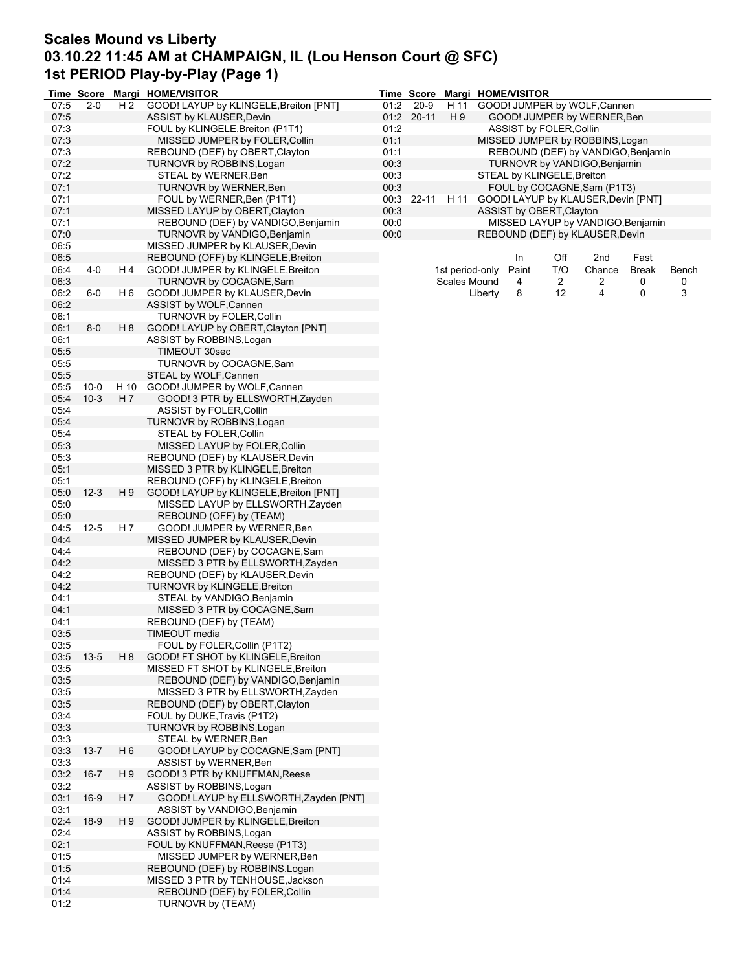### **Scales Mound vs Liberty 03.10.22 11:45 AM at CHAMPAIGN, IL (Lou Henson Court @ SFC) 1st PERIOD Play-by-Play (Page 1)**

|      | <b>Time Score</b> |                | Margi HOME/VISITOR                     |      | <b>Time Score</b> |                 |         | Margi HOME/VISITOR         |                |                                     |              |       |
|------|-------------------|----------------|----------------------------------------|------|-------------------|-----------------|---------|----------------------------|----------------|-------------------------------------|--------------|-------|
| 07:5 | $2 - 0$           | H 2            | GOOD! LAYUP by KLINGELE, Breiton [PNT] | 01:2 | $20 - 9$          | H 11            |         |                            |                | GOOD! JUMPER by WOLF, Cannen        |              |       |
| 07:5 |                   |                | ASSIST by KLAUSER, Devin               |      | 01:2 20-11        | H 9             |         |                            |                | GOOD! JUMPER by WERNER, Ben         |              |       |
| 07:3 |                   |                | FOUL by KLINGELE, Breiton (P1T1)       | 01:2 |                   |                 |         | ASSIST by FOLER, Collin    |                |                                     |              |       |
| 07:3 |                   |                | MISSED JUMPER by FOLER, Collin         | 01:1 |                   |                 |         |                            |                | MISSED JUMPER by ROBBINS, Logan     |              |       |
| 07:3 |                   |                | REBOUND (DEF) by OBERT, Clayton        | 01:1 |                   |                 |         |                            |                | REBOUND (DEF) by VANDIGO, Benjamin  |              |       |
| 07:2 |                   |                | TURNOVR by ROBBINS, Logan              | 00:3 |                   |                 |         |                            |                | TURNOVR by VANDIGO, Benjamin        |              |       |
| 07:2 |                   |                | STEAL by WERNER, Ben                   | 00:3 |                   |                 |         | STEAL by KLINGELE, Breiton |                |                                     |              |       |
| 07:1 |                   |                | TURNOVR by WERNER, Ben                 | 00:3 |                   |                 |         |                            |                | FOUL by COCAGNE, Sam (P1T3)         |              |       |
|      |                   |                |                                        |      |                   |                 |         |                            |                |                                     |              |       |
| 07:1 |                   |                | FOUL by WERNER, Ben (P1T1)             |      | 00:3 22-11        | H 11            |         |                            |                | GOOD! LAYUP by KLAUSER, Devin [PNT] |              |       |
| 07:1 |                   |                | MISSED LAYUP by OBERT, Clayton         | 00:3 |                   |                 |         | ASSIST by OBERT, Clayton   |                |                                     |              |       |
| 07:1 |                   |                | REBOUND (DEF) by VANDIGO, Benjamin     | 00:0 |                   |                 |         |                            |                | MISSED LAYUP by VANDIGO, Benjamin   |              |       |
| 07:0 |                   |                | TURNOVR by VANDIGO, Benjamin           | 00:0 |                   |                 |         |                            |                | REBOUND (DEF) by KLAUSER, Devin     |              |       |
| 06:5 |                   |                | MISSED JUMPER by KLAUSER, Devin        |      |                   |                 |         |                            |                |                                     |              |       |
| 06:5 |                   |                | REBOUND (OFF) by KLINGELE, Breiton     |      |                   |                 |         | In                         | Off            | 2nd                                 | Fast         |       |
| 06:4 | 4-0               | H 4            | GOOD! JUMPER by KLINGELE, Breiton      |      |                   | 1st period-only |         | Paint                      | T/O            | Chance                              | <b>Break</b> | Bench |
| 06:3 |                   |                | TURNOVR by COCAGNE, Sam                |      |                   | Scales Mound    |         | 4                          | $\overline{c}$ | 2                                   | 0            | 0     |
| 06:2 | 6-0               | H 6            | GOOD! JUMPER by KLAUSER, Devin         |      |                   |                 | Liberty | 8                          | 12             | 4                                   | 0            | 3     |
| 06:2 |                   |                | ASSIST by WOLF, Cannen                 |      |                   |                 |         |                            |                |                                     |              |       |
| 06:1 |                   |                | <b>TURNOVR by FOLER, Collin</b>        |      |                   |                 |         |                            |                |                                     |              |       |
| 06:1 | $8-0$             | H 8            | GOOD! LAYUP by OBERT, Clayton [PNT]    |      |                   |                 |         |                            |                |                                     |              |       |
| 06:1 |                   |                | ASSIST by ROBBINS, Logan               |      |                   |                 |         |                            |                |                                     |              |       |
| 05:5 |                   |                | TIMEOUT 30sec                          |      |                   |                 |         |                            |                |                                     |              |       |
| 05:5 |                   |                | TURNOVR by COCAGNE, Sam                |      |                   |                 |         |                            |                |                                     |              |       |
| 05:5 |                   |                | STEAL by WOLF, Cannen                  |      |                   |                 |         |                            |                |                                     |              |       |
|      |                   |                |                                        |      |                   |                 |         |                            |                |                                     |              |       |
| 05:5 | $10 - 0$          |                | H 10 GOOD! JUMPER by WOLF, Cannen      |      |                   |                 |         |                            |                |                                     |              |       |
| 05:4 | $10 - 3$          | H 7            | GOOD! 3 PTR by ELLSWORTH, Zayden       |      |                   |                 |         |                            |                |                                     |              |       |
| 05:4 |                   |                | <b>ASSIST by FOLER, Collin</b>         |      |                   |                 |         |                            |                |                                     |              |       |
| 05:4 |                   |                | TURNOVR by ROBBINS, Logan              |      |                   |                 |         |                            |                |                                     |              |       |
| 05:4 |                   |                | STEAL by FOLER, Collin                 |      |                   |                 |         |                            |                |                                     |              |       |
| 05:3 |                   |                | MISSED LAYUP by FOLER, Collin          |      |                   |                 |         |                            |                |                                     |              |       |
| 05:3 |                   |                | REBOUND (DEF) by KLAUSER, Devin        |      |                   |                 |         |                            |                |                                     |              |       |
| 05:1 |                   |                | MISSED 3 PTR by KLINGELE, Breiton      |      |                   |                 |         |                            |                |                                     |              |       |
| 05:1 |                   |                | REBOUND (OFF) by KLINGELE, Breiton     |      |                   |                 |         |                            |                |                                     |              |       |
| 05:0 | $12 - 3$          | H 9            | GOOD! LAYUP by KLINGELE, Breiton [PNT] |      |                   |                 |         |                            |                |                                     |              |       |
| 05:0 |                   |                | MISSED LAYUP by ELLSWORTH, Zayden      |      |                   |                 |         |                            |                |                                     |              |       |
| 05:0 |                   |                | REBOUND (OFF) by (TEAM)                |      |                   |                 |         |                            |                |                                     |              |       |
| 04:5 | $12 - 5$          | H 7            | GOOD! JUMPER by WERNER, Ben            |      |                   |                 |         |                            |                |                                     |              |       |
| 04:4 |                   |                | MISSED JUMPER by KLAUSER, Devin        |      |                   |                 |         |                            |                |                                     |              |       |
| 04:4 |                   |                | REBOUND (DEF) by COCAGNE, Sam          |      |                   |                 |         |                            |                |                                     |              |       |
|      |                   |                |                                        |      |                   |                 |         |                            |                |                                     |              |       |
| 04:2 |                   |                | MISSED 3 PTR by ELLSWORTH, Zayden      |      |                   |                 |         |                            |                |                                     |              |       |
| 04:2 |                   |                | REBOUND (DEF) by KLAUSER, Devin        |      |                   |                 |         |                            |                |                                     |              |       |
| 04:2 |                   |                | TURNOVR by KLINGELE, Breiton           |      |                   |                 |         |                            |                |                                     |              |       |
| 04:1 |                   |                | STEAL by VANDIGO, Benjamin             |      |                   |                 |         |                            |                |                                     |              |       |
| 04:1 |                   |                | MISSED 3 PTR by COCAGNE, Sam           |      |                   |                 |         |                            |                |                                     |              |       |
| 04:1 |                   |                | REBOUND (DEF) by (TEAM)                |      |                   |                 |         |                            |                |                                     |              |       |
| 03:5 |                   |                | TIMEOUT media                          |      |                   |                 |         |                            |                |                                     |              |       |
| 03:5 |                   |                | FOUL by FOLER, Collin (P1T2)           |      |                   |                 |         |                            |                |                                     |              |       |
| 03:5 | $13 - 5$          | H 8            | GOOD! FT SHOT by KLINGELE, Breiton     |      |                   |                 |         |                            |                |                                     |              |       |
| 03:5 |                   |                | MISSED FT SHOT by KLINGELE, Breiton    |      |                   |                 |         |                            |                |                                     |              |       |
| 03:5 |                   |                | REBOUND (DEF) by VANDIGO, Benjamin     |      |                   |                 |         |                            |                |                                     |              |       |
| 03:5 |                   |                | MISSED 3 PTR by ELLSWORTH, Zayden      |      |                   |                 |         |                            |                |                                     |              |       |
| 03:5 |                   |                | REBOUND (DEF) by OBERT, Clayton        |      |                   |                 |         |                            |                |                                     |              |       |
| 03:4 |                   |                | FOUL by DUKE, Travis (P1T2)            |      |                   |                 |         |                            |                |                                     |              |       |
| 03:3 |                   |                | TURNOVR by ROBBINS, Logan              |      |                   |                 |         |                            |                |                                     |              |       |
| 03:3 |                   |                | STEAL by WERNER, Ben                   |      |                   |                 |         |                            |                |                                     |              |       |
| 03:3 | $13 - 7$          | H <sub>6</sub> | GOOD! LAYUP by COCAGNE, Sam [PNT]      |      |                   |                 |         |                            |                |                                     |              |       |
| 03:3 |                   |                | ASSIST by WERNER, Ben                  |      |                   |                 |         |                            |                |                                     |              |       |
|      |                   |                |                                        |      |                   |                 |         |                            |                |                                     |              |       |
| 03:2 | $16 - 7$          | H 9            | GOOD! 3 PTR by KNUFFMAN, Reese         |      |                   |                 |         |                            |                |                                     |              |       |
| 03:2 |                   |                | ASSIST by ROBBINS, Logan               |      |                   |                 |         |                            |                |                                     |              |       |
| 03:1 | 16-9              | H 7            | GOOD! LAYUP by ELLSWORTH, Zayden [PNT] |      |                   |                 |         |                            |                |                                     |              |       |
| 03:1 |                   |                | ASSIST by VANDIGO, Benjamin            |      |                   |                 |         |                            |                |                                     |              |       |
| 02:4 | $18-9$            | H 9            | GOOD! JUMPER by KLINGELE, Breiton      |      |                   |                 |         |                            |                |                                     |              |       |
| 02:4 |                   |                | ASSIST by ROBBINS, Logan               |      |                   |                 |         |                            |                |                                     |              |       |
| 02:1 |                   |                | FOUL by KNUFFMAN, Reese (P1T3)         |      |                   |                 |         |                            |                |                                     |              |       |
| 01:5 |                   |                | MISSED JUMPER by WERNER, Ben           |      |                   |                 |         |                            |                |                                     |              |       |
| 01:5 |                   |                | REBOUND (DEF) by ROBBINS, Logan        |      |                   |                 |         |                            |                |                                     |              |       |
| 01:4 |                   |                | MISSED 3 PTR by TENHOUSE, Jackson      |      |                   |                 |         |                            |                |                                     |              |       |
| 01:4 |                   |                | REBOUND (DEF) by FOLER, Collin         |      |                   |                 |         |                            |                |                                     |              |       |
| 01:2 |                   |                | TURNOVR by (TEAM)                      |      |                   |                 |         |                            |                |                                     |              |       |
|      |                   |                |                                        |      |                   |                 |         |                            |                |                                     |              |       |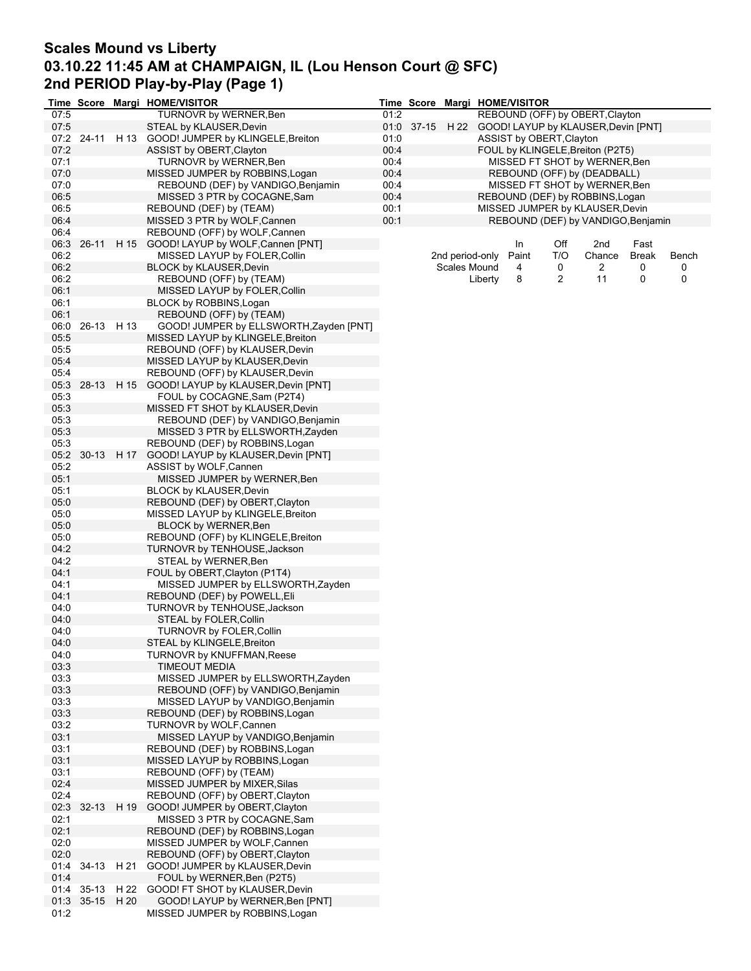# **Scales Mound vs Liberty 03.10.22 11:45 AM at CHAMPAIGN, IL (Lou Henson Court @ SFC) 2nd PERIOD Play-by-Play (Page 1)**

|      |                 |      | Time Score Margi HOME/VISITOR                                      |      | <b>Time Score</b> |                 |         | Margi HOME/VISITOR       |            |                                                     |            |            |
|------|-----------------|------|--------------------------------------------------------------------|------|-------------------|-----------------|---------|--------------------------|------------|-----------------------------------------------------|------------|------------|
| 07:5 |                 |      | <b>TURNOVR by WERNER, Ben</b>                                      | 01:2 |                   |                 |         |                          |            | REBOUND (OFF) by OBERT, Clayton                     |            |            |
| 07:5 |                 |      | STEAL by KLAUSER, Devin                                            |      |                   |                 |         |                          |            | 01:0 37-15 H 22 GOOD! LAYUP by KLAUSER, Devin [PNT] |            |            |
|      | 07:2 24-11      |      | H 13 GOOD! JUMPER by KLINGELE, Breiton                             | 01:0 |                   |                 |         | ASSIST by OBERT, Clayton |            |                                                     |            |            |
| 07:2 |                 |      | ASSIST by OBERT, Clayton                                           | 00:4 |                   |                 |         |                          |            | FOUL by KLINGELE, Breiton (P2T5)                    |            |            |
| 07:1 |                 |      | TURNOVR by WERNER, Ben                                             | 00:4 |                   |                 |         |                          |            | MISSED FT SHOT by WERNER, Ben                       |            |            |
| 07:0 |                 |      | MISSED JUMPER by ROBBINS, Logan                                    | 00:4 |                   |                 |         |                          |            | REBOUND (OFF) by (DEADBALL)                         |            |            |
| 07:0 |                 |      | REBOUND (DEF) by VANDIGO, Benjamin                                 | 00:4 |                   |                 |         |                          |            | MISSED FT SHOT by WERNER, Ben                       |            |            |
| 06:5 |                 |      | MISSED 3 PTR by COCAGNE, Sam                                       | 00:4 |                   |                 |         |                          |            | REBOUND (DEF) by ROBBINS, Logan                     |            |            |
| 06:5 |                 |      | REBOUND (DEF) by (TEAM)                                            | 00:1 |                   |                 |         |                          |            | MISSED JUMPER by KLAUSER, Devin                     |            |            |
| 06:4 |                 |      | MISSED 3 PTR by WOLF, Cannen                                       | 00:1 |                   |                 |         |                          |            | REBOUND (DEF) by VANDIGO, Benjamin                  |            |            |
| 06:4 |                 |      | REBOUND (OFF) by WOLF, Cannen                                      |      |                   |                 |         |                          |            |                                                     |            |            |
| 06:2 | 06:3 26-11      | H 15 | GOOD! LAYUP by WOLF, Cannen [PNT]<br>MISSED LAYUP by FOLER, Collin |      |                   | 2nd period-only |         | In                       | Off<br>T/O | 2nd                                                 | Fast       |            |
| 06:2 |                 |      | <b>BLOCK by KLAUSER, Devin</b>                                     |      |                   | Scales Mound    |         | Paint<br>4               | 0          | Chance<br>2                                         | Break<br>0 | Bench<br>0 |
| 06:2 |                 |      | REBOUND (OFF) by (TEAM)                                            |      |                   |                 | Liberty | 8                        | 2          | 11                                                  | 0          | 0          |
| 06:1 |                 |      | MISSED LAYUP by FOLER, Collin                                      |      |                   |                 |         |                          |            |                                                     |            |            |
| 06:1 |                 |      | BLOCK by ROBBINS, Logan                                            |      |                   |                 |         |                          |            |                                                     |            |            |
| 06:1 |                 |      | REBOUND (OFF) by (TEAM)                                            |      |                   |                 |         |                          |            |                                                     |            |            |
| 06:0 | 26-13 H 13      |      | GOOD! JUMPER by ELLSWORTH, Zayden [PNT]                            |      |                   |                 |         |                          |            |                                                     |            |            |
| 05:5 |                 |      | MISSED LAYUP by KLINGELE, Breiton                                  |      |                   |                 |         |                          |            |                                                     |            |            |
| 05:5 |                 |      | REBOUND (OFF) by KLAUSER, Devin                                    |      |                   |                 |         |                          |            |                                                     |            |            |
| 05:4 |                 |      | MISSED LAYUP by KLAUSER, Devin                                     |      |                   |                 |         |                          |            |                                                     |            |            |
| 05:4 |                 |      | REBOUND (OFF) by KLAUSER, Devin                                    |      |                   |                 |         |                          |            |                                                     |            |            |
| 05:3 | 28-13           |      | H 15 GOOD! LAYUP by KLAUSER, Devin [PNT]                           |      |                   |                 |         |                          |            |                                                     |            |            |
| 05:3 |                 |      | FOUL by COCAGNE, Sam (P2T4)                                        |      |                   |                 |         |                          |            |                                                     |            |            |
| 05:3 |                 |      | MISSED FT SHOT by KLAUSER, Devin                                   |      |                   |                 |         |                          |            |                                                     |            |            |
| 05:3 |                 |      | REBOUND (DEF) by VANDIGO, Benjamin                                 |      |                   |                 |         |                          |            |                                                     |            |            |
| 05:3 |                 |      | MISSED 3 PTR by ELLSWORTH, Zayden                                  |      |                   |                 |         |                          |            |                                                     |            |            |
| 05:3 |                 |      | REBOUND (DEF) by ROBBINS, Logan                                    |      |                   |                 |         |                          |            |                                                     |            |            |
| 05:2 | $30 - 13$       |      | H 17 GOOD! LAYUP by KLAUSER, Devin [PNT]                           |      |                   |                 |         |                          |            |                                                     |            |            |
| 05:2 |                 |      | ASSIST by WOLF, Cannen                                             |      |                   |                 |         |                          |            |                                                     |            |            |
| 05:1 |                 |      | MISSED JUMPER by WERNER, Ben                                       |      |                   |                 |         |                          |            |                                                     |            |            |
| 05:1 |                 |      | <b>BLOCK by KLAUSER, Devin</b>                                     |      |                   |                 |         |                          |            |                                                     |            |            |
| 05:0 |                 |      | REBOUND (DEF) by OBERT, Clayton                                    |      |                   |                 |         |                          |            |                                                     |            |            |
| 05:0 |                 |      | MISSED LAYUP by KLINGELE, Breiton                                  |      |                   |                 |         |                          |            |                                                     |            |            |
| 05:0 |                 |      | <b>BLOCK by WERNER, Ben</b>                                        |      |                   |                 |         |                          |            |                                                     |            |            |
| 05:0 |                 |      | REBOUND (OFF) by KLINGELE, Breiton                                 |      |                   |                 |         |                          |            |                                                     |            |            |
| 04:2 |                 |      | TURNOVR by TENHOUSE, Jackson                                       |      |                   |                 |         |                          |            |                                                     |            |            |
| 04:2 |                 |      | STEAL by WERNER, Ben                                               |      |                   |                 |         |                          |            |                                                     |            |            |
| 04:1 |                 |      | FOUL by OBERT, Clayton (P1T4)                                      |      |                   |                 |         |                          |            |                                                     |            |            |
| 04:1 |                 |      | MISSED JUMPER by ELLSWORTH, Zayden                                 |      |                   |                 |         |                          |            |                                                     |            |            |
| 04:1 |                 |      | REBOUND (DEF) by POWELL, Eli                                       |      |                   |                 |         |                          |            |                                                     |            |            |
| 04:0 |                 |      | TURNOVR by TENHOUSE, Jackson                                       |      |                   |                 |         |                          |            |                                                     |            |            |
| 04:0 |                 |      | STEAL by FOLER, Collin                                             |      |                   |                 |         |                          |            |                                                     |            |            |
| 04:0 |                 |      | <b>TURNOVR by FOLER, Collin</b>                                    |      |                   |                 |         |                          |            |                                                     |            |            |
| 04:0 |                 |      | STEAL by KLINGELE, Breiton                                         |      |                   |                 |         |                          |            |                                                     |            |            |
| 04:0 |                 |      | TURNOVR by KNUFFMAN, Reese                                         |      |                   |                 |         |                          |            |                                                     |            |            |
| 03:3 |                 |      | <b>TIMEOUT MEDIA</b>                                               |      |                   |                 |         |                          |            |                                                     |            |            |
| 03:3 |                 |      | MISSED JUMPER by ELLSWORTH, Zayden                                 |      |                   |                 |         |                          |            |                                                     |            |            |
| 03:3 |                 |      | REBOUND (OFF) by VANDIGO, Benjamin                                 |      |                   |                 |         |                          |            |                                                     |            |            |
| 03:3 |                 |      | MISSED LAYUP by VANDIGO, Benjamin                                  |      |                   |                 |         |                          |            |                                                     |            |            |
| 03:3 |                 |      | REBOUND (DEF) by ROBBINS, Logan                                    |      |                   |                 |         |                          |            |                                                     |            |            |
| 03:2 |                 |      | TURNOVR by WOLF, Cannen                                            |      |                   |                 |         |                          |            |                                                     |            |            |
| 03:1 |                 |      | MISSED LAYUP by VANDIGO, Benjamin                                  |      |                   |                 |         |                          |            |                                                     |            |            |
| 03:1 |                 |      | REBOUND (DEF) by ROBBINS, Logan                                    |      |                   |                 |         |                          |            |                                                     |            |            |
| 03:1 |                 |      | MISSED LAYUP by ROBBINS, Logan                                     |      |                   |                 |         |                          |            |                                                     |            |            |
| 03:1 |                 |      | REBOUND (OFF) by (TEAM)                                            |      |                   |                 |         |                          |            |                                                     |            |            |
| 02:4 |                 |      | MISSED JUMPER by MIXER, Silas                                      |      |                   |                 |         |                          |            |                                                     |            |            |
| 02:4 |                 |      | REBOUND (OFF) by OBERT, Clayton                                    |      |                   |                 |         |                          |            |                                                     |            |            |
| 02:3 | 32-13 H 19      |      | GOOD! JUMPER by OBERT, Clayton                                     |      |                   |                 |         |                          |            |                                                     |            |            |
| 02:1 |                 |      | MISSED 3 PTR by COCAGNE, Sam                                       |      |                   |                 |         |                          |            |                                                     |            |            |
| 02:1 |                 |      | REBOUND (DEF) by ROBBINS, Logan                                    |      |                   |                 |         |                          |            |                                                     |            |            |
| 02:0 |                 |      | MISSED JUMPER by WOLF, Cannen                                      |      |                   |                 |         |                          |            |                                                     |            |            |
| 02:0 |                 |      | REBOUND (OFF) by OBERT, Clayton                                    |      |                   |                 |         |                          |            |                                                     |            |            |
| 01:4 | 34-13           | H 21 | GOOD! JUMPER by KLAUSER, Devin                                     |      |                   |                 |         |                          |            |                                                     |            |            |
| 01:4 |                 |      | FOUL by WERNER, Ben (P2T5)                                         |      |                   |                 |         |                          |            |                                                     |            |            |
|      | 01:4 35-13      |      | H 22 GOOD! FT SHOT by KLAUSER, Devin                               |      |                   |                 |         |                          |            |                                                     |            |            |
|      | 01:3 35-15 H 20 |      | GOOD! LAYUP by WERNER, Ben [PNT]                                   |      |                   |                 |         |                          |            |                                                     |            |            |
| 01:2 |                 |      | MISSED JUMPER by ROBBINS, Logan                                    |      |                   |                 |         |                          |            |                                                     |            |            |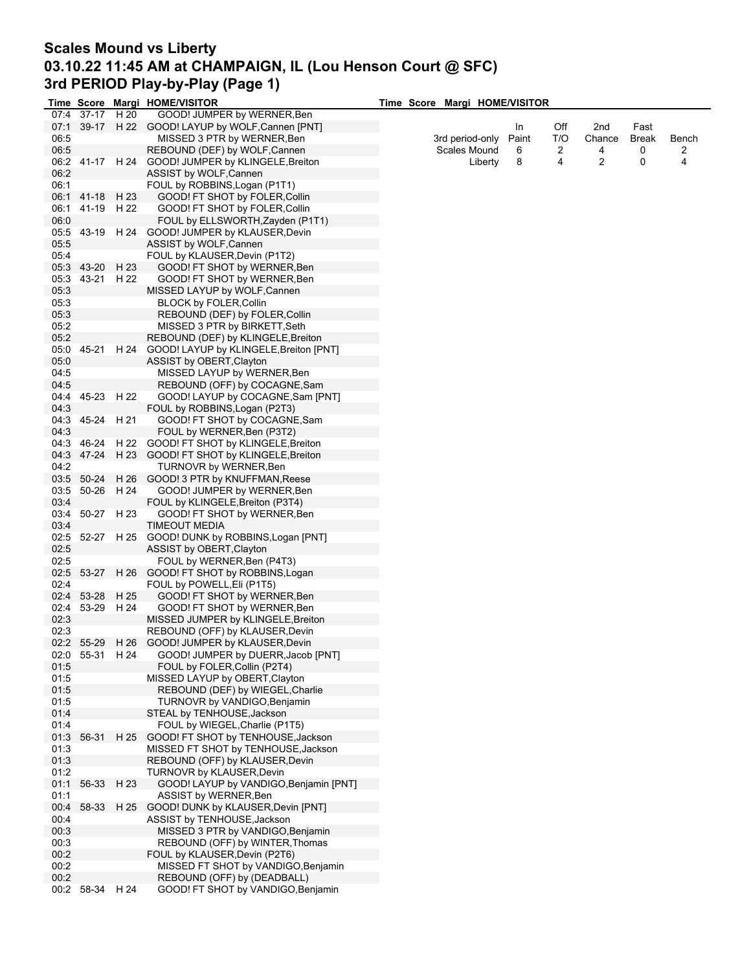### **Scales Mound vs Liberty 03.10.22 11:45 AM at CHAMPAIGN, IL (Lou Henson Court @ SFC) 3rd PERIOD Play-by-Play (Page 1)**

|      |                               |      | Time Score Margi HOME/VISITOR                      | Time Score Margi HOME/VISITOR |       |     |        |              |       |
|------|-------------------------------|------|----------------------------------------------------|-------------------------------|-------|-----|--------|--------------|-------|
|      | 07:4 37-17                    | H 20 | GOOD! JUMPER by WERNER, Ben                        |                               |       |     |        |              |       |
|      |                               |      | 07:1 39-17 H 22 GOOD! LAYUP by WOLF, Cannen [PNT]  |                               | In    | Off | 2nd    | Fast         |       |
| 06:5 |                               |      | MISSED 3 PTR by WERNER, Ben                        | 3rd period-only               | Paint | T/O | Chance | <b>Break</b> | Bench |
| 06:5 |                               |      | REBOUND (DEF) by WOLF, Cannen                      | Scales Mound                  | 6     | 2   | 4      | 0            | 2     |
|      |                               |      | 06:2 41-17 H 24 GOOD! JUMPER by KLINGELE, Breiton  | Liberty                       | 8     | 4   | 2      | 0            | 4     |
| 06:2 |                               |      | ASSIST by WOLF, Cannen                             |                               |       |     |        |              |       |
| 06:1 |                               |      | FOUL by ROBBINS, Logan (P1T1)                      |                               |       |     |        |              |       |
|      | 06:1 41-18                    | H 23 | GOOD! FT SHOT by FOLER, Collin                     |                               |       |     |        |              |       |
| 06:1 | 41-19                         | H 22 | GOOD! FT SHOT by FOLER, Collin                     |                               |       |     |        |              |       |
| 06:0 |                               |      | FOUL by ELLSWORTH, Zayden (P1T1)                   |                               |       |     |        |              |       |
|      |                               |      | 05:5 43-19 H 24 GOOD! JUMPER by KLAUSER, Devin     |                               |       |     |        |              |       |
| 05:5 |                               |      | ASSIST by WOLF, Cannen                             |                               |       |     |        |              |       |
| 05:4 |                               |      | FOUL by KLAUSER, Devin (P1T2)                      |                               |       |     |        |              |       |
|      | 05:3 43-20 H 23               |      | GOOD! FT SHOT by WERNER, Ben                       |                               |       |     |        |              |       |
|      | 05:3 43-21 H 22               |      |                                                    |                               |       |     |        |              |       |
|      |                               |      | GOOD! FT SHOT by WERNER, Ben                       |                               |       |     |        |              |       |
| 05:3 |                               |      | MISSED LAYUP by WOLF, Cannen                       |                               |       |     |        |              |       |
| 05:3 |                               |      | <b>BLOCK by FOLER, Collin</b>                      |                               |       |     |        |              |       |
| 05:3 |                               |      | REBOUND (DEF) by FOLER, Collin                     |                               |       |     |        |              |       |
| 05:2 |                               |      | MISSED 3 PTR by BIRKETT, Seth                      |                               |       |     |        |              |       |
| 05:2 |                               |      | REBOUND (DEF) by KLINGELE, Breiton                 |                               |       |     |        |              |       |
| 05:0 | 45-21                         |      | H 24 GOOD! LAYUP by KLINGELE, Breiton [PNT]        |                               |       |     |        |              |       |
| 05:0 |                               |      | ASSIST by OBERT, Clayton                           |                               |       |     |        |              |       |
| 04:5 |                               |      | MISSED LAYUP by WERNER, Ben                        |                               |       |     |        |              |       |
| 04:5 |                               |      | REBOUND (OFF) by COCAGNE, Sam                      |                               |       |     |        |              |       |
| 04:4 | 45-23                         | H 22 | GOOD! LAYUP by COCAGNE, Sam [PNT]                  |                               |       |     |        |              |       |
| 04:3 |                               |      | FOUL by ROBBINS, Logan (P2T3)                      |                               |       |     |        |              |       |
|      | 04:3 45-24                    | H 21 | GOOD! FT SHOT by COCAGNE, Sam                      |                               |       |     |        |              |       |
| 04:3 |                               |      | FOUL by WERNER, Ben (P3T2)                         |                               |       |     |        |              |       |
|      | 04:3 46-24                    |      | H 22 GOOD! FT SHOT by KLINGELE, Breiton            |                               |       |     |        |              |       |
|      | 04:3 47-24                    |      | H 23 GOOD! FT SHOT by KLINGELE, Breiton            |                               |       |     |        |              |       |
| 04:2 |                               |      | <b>TURNOVR by WERNER, Ben</b>                      |                               |       |     |        |              |       |
|      | 03:5 50-24                    | H 26 | GOOD! 3 PTR by KNUFFMAN,Reese                      |                               |       |     |        |              |       |
|      | 03:5 50-26                    | H 24 | GOOD! JUMPER by WERNER, Ben                        |                               |       |     |        |              |       |
| 03:4 |                               |      | FOUL by KLINGELE, Breiton (P3T4)                   |                               |       |     |        |              |       |
| 03:4 | 50-27                         | H 23 | GOOD! FT SHOT by WERNER, Ben                       |                               |       |     |        |              |       |
| 03:4 |                               |      | <b>TIMEOUT MEDIA</b>                               |                               |       |     |        |              |       |
|      |                               |      | 02:5 52-27 H 25 GOOD! DUNK by ROBBINS, Logan [PNT] |                               |       |     |        |              |       |
| 02:5 |                               |      | ASSIST by OBERT, Clayton                           |                               |       |     |        |              |       |
| 02:5 |                               |      | FOUL by WERNER, Ben (P4T3)                         |                               |       |     |        |              |       |
|      | 02:5 53-27                    | H 26 | GOOD! FT SHOT by ROBBINS, Logan                    |                               |       |     |        |              |       |
| 02:4 |                               |      | FOUL by POWELL, Eli (P1T5)                         |                               |       |     |        |              |       |
| 02:4 | 53-28                         | H 25 | GOOD! FT SHOT by WERNER, Ben                       |                               |       |     |        |              |       |
| 02:4 | 53-29                         | H 24 | GOOD! FT SHOT by WERNER, Ben                       |                               |       |     |        |              |       |
| 02:3 |                               |      | MISSED JUMPER by KLINGELE, Breiton                 |                               |       |     |        |              |       |
| 02:3 |                               |      | REBOUND (OFF) by KLAUSER, Devin                    |                               |       |     |        |              |       |
|      |                               |      |                                                    |                               |       |     |        |              |       |
|      | 02:2 55-29<br>02:0 55-31 H 24 | H 26 | GOOD! JUMPER by KLAUSER, Devin                     |                               |       |     |        |              |       |
|      |                               |      | GOOD! JUMPER by DUERR, Jacob [PNT]                 |                               |       |     |        |              |       |
| 01:5 |                               |      | FOUL by FOLER, Collin (P2T4)                       |                               |       |     |        |              |       |
| 01:5 |                               |      | MISSED LAYUP by OBERT, Clayton                     |                               |       |     |        |              |       |
| 01:5 |                               |      | REBOUND (DEF) by WIEGEL, Charlie                   |                               |       |     |        |              |       |
| 01:5 |                               |      | TURNOVR by VANDIGO, Benjamin                       |                               |       |     |        |              |       |
| 01.4 |                               |      | STEAL by TENHOUSE, Jackson                         |                               |       |     |        |              |       |
| 01:4 |                               |      | FOUL by WIEGEL, Charlie (P1T5)                     |                               |       |     |        |              |       |
|      | 01:3 56-31                    |      | H 25 GOOD! FT SHOT by TENHOUSE, Jackson            |                               |       |     |        |              |       |
| 01:3 |                               |      | MISSED FT SHOT by TENHOUSE, Jackson                |                               |       |     |        |              |       |
| 01:3 |                               |      | REBOUND (OFF) by KLAUSER, Devin                    |                               |       |     |        |              |       |
| 01:2 |                               |      | <b>TURNOVR by KLAUSER, Devin</b>                   |                               |       |     |        |              |       |
| 01:1 | 56-33                         | H 23 | GOOD! LAYUP by VANDIGO, Benjamin [PNT]             |                               |       |     |        |              |       |
| 01:1 |                               |      | ASSIST by WERNER, Ben                              |                               |       |     |        |              |       |
|      | 00:4 58-33                    | H 25 | GOOD! DUNK by KLAUSER, Devin [PNT]                 |                               |       |     |        |              |       |
| 00:4 |                               |      | ASSIST by TENHOUSE, Jackson                        |                               |       |     |        |              |       |
| 00:3 |                               |      | MISSED 3 PTR by VANDIGO, Benjamin                  |                               |       |     |        |              |       |
| 00:3 |                               |      | REBOUND (OFF) by WINTER, Thomas                    |                               |       |     |        |              |       |
| 00:2 |                               |      | FOUL by KLAUSER, Devin (P2T6)                      |                               |       |     |        |              |       |
| 00:2 |                               |      | MISSED FT SHOT by VANDIGO, Benjamin                |                               |       |     |        |              |       |
| 00:2 |                               |      | REBOUND (OFF) by (DEADBALL)                        |                               |       |     |        |              |       |
|      | 00:2 58-34 H 24               |      | GOOD! FT SHOT by VANDIGO, Benjamin                 |                               |       |     |        |              |       |